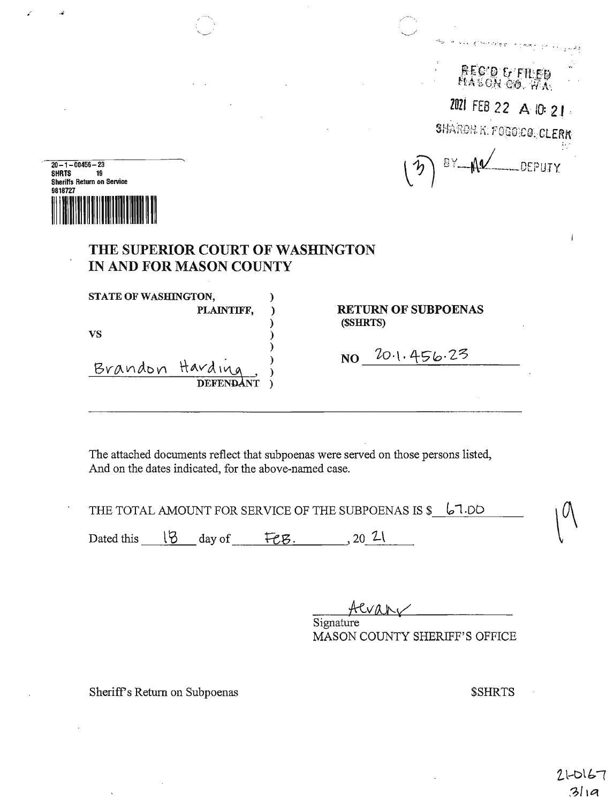| s | REC'O G'ETLED<br>HASON CO. WA |  |
|---|-------------------------------|--|
|   | ZOZI FEB 22 A IO: 21          |  |
|   | SHARDN K. FOGOICO, CLERK      |  |
|   | 1 BY AN DEPUTY                |  |
|   |                               |  |

| $20 - 1 - 00456 - 23$ |                                   |  |
|-----------------------|-----------------------------------|--|
| <b>SHRTS</b>          | 19                                |  |
|                       | <b>Sheriffs Return on Service</b> |  |
| 9818727               |                                   |  |
|                       |                                   |  |
|                       |                                   |  |
|                       |                                   |  |
|                       |                                   |  |

## **THE SUPERIOR COURT OF WASHINGTON IN AND FOR MASON COUNTY**

STATE OF WASHINGTON, **vs** ) Brandon Harding, ) **NO** DEFENDANT)

**PLAINTIFF,** ) **RETURN OF SUBPOENAS**  ) **(\$SHRTS)** 

£O·l• *L\-S"~-Z~* 

The attached documents reflect that subpoenas were served on those persons listed, And on the dates indicated, for the above-named case.

)

)

|            |        | THE TOTAL AMOUNT FOR SERVICE OF THE SUBPOENAS IS \$ 67.DD |  |
|------------|--------|-----------------------------------------------------------|--|
| Dated this | day of |                                                           |  |

ACVANY Signature

MASON COUNTY SHERIFF'S OFFICE

Sheriff's Return on Subpoenas **\$SHRTS** 

 $\tilde{\mathbf{r}}$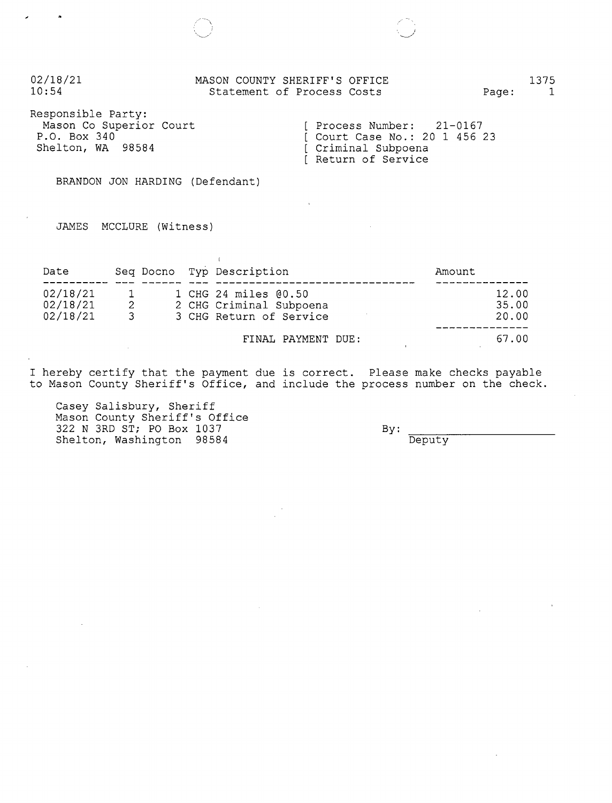| 02/18/21                                                                           | MASON COUNTY SHERIFF'S OFFICE                                                                                | Page: | 1375         |
|------------------------------------------------------------------------------------|--------------------------------------------------------------------------------------------------------------|-------|--------------|
| 10:54                                                                              | Statement of Process Costs                                                                                   |       | $\mathbf{1}$ |
| Responsible Party:<br>Mason Co Superior Court<br>P.O. Box 340<br>Shelton, WA 98584 | $[$ Process Number: $21-0167$<br>[ Court Case No.: 20 1 456 23<br>[ Criminal Subpoena<br>[ Return of Service |       |              |

BRANDON JON HARDING (Defendant)

,~,-

 $\epsilon$ 

JAMES MCCLURE (Witness)

| Date                             |                          |  | Seq Docno Typ Description                                                  | Amount                  |
|----------------------------------|--------------------------|--|----------------------------------------------------------------------------|-------------------------|
| 02/18/21<br>02/18/21<br>02/18/21 | $\mathbf{1}$<br>2<br>-3. |  | 1 CHG 24 miles 00.50<br>2 CHG Criminal Subpoena<br>3 CHG Return of Service | 12.00<br>35.00<br>20.00 |
|                                  |                          |  | FINAL PAYMENT DUE:                                                         | 67.00                   |

I hereby certify that the payment due is correct. Please make checks payab. to Mason County Sheriff's Office, and include the process number on the check

Casey Salisbury, Sheri Mason County Sheriff's Office 322 N 3RD ST; PO Box 1037 Shelton, Washington 98584

By: Deputy